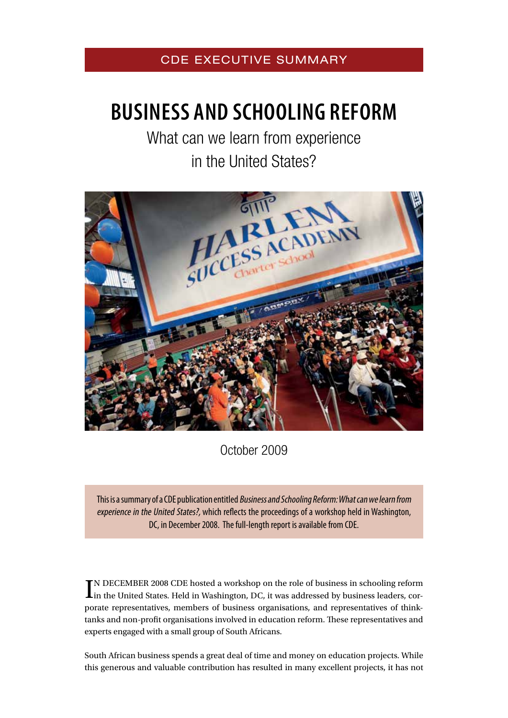# CDE EXECUTIVE SUMMARY

# **Business and Schooling reform**

What can we learn from experience in the United States?



October 2009

This is a summary of a CDE publication entitled Business and Schooling Reform: What can we learn from experience in the United States?, which reflects the proceedings of a workshop held in Washington, DC, in December 2008. The full-length report is available from CDE.

IN DECEMBER 2008 CDE hosted a workshop on the role of business in schooling reform<br>In the United States. Held in Washington, DC, it was addressed by business leaders, corn December 2008 CDE hosted a workshop on the role of business in schooling reform porate representatives, members of business organisations, and representatives of thinktanks and non-profit organisations involved in education reform. These representatives and experts engaged with a small group of South Africans.

South African business spends a great deal of time and money on education projects. While this generous and valuable contribution has resulted in many excellent projects, it has not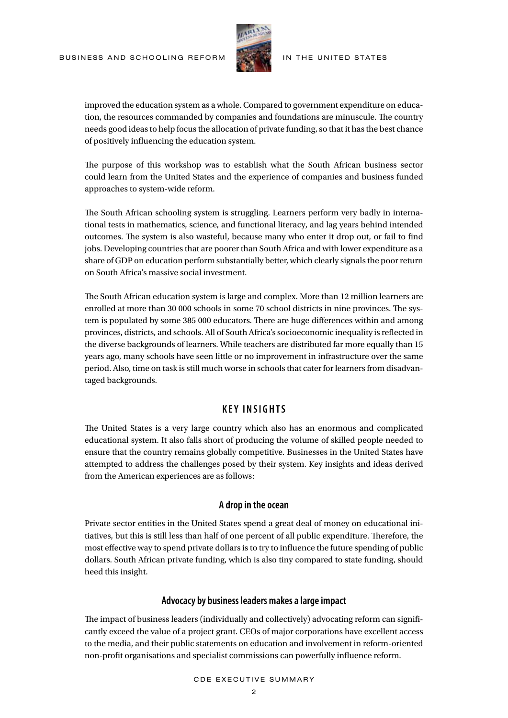

improved the education system as a whole. Compared to government expenditure on education, the resources commanded by companies and foundations are minuscule. The country needs good ideas to help focus the allocation of private funding, so that it has the best chance of positively influencing the education system.

The purpose of this workshop was to establish what the South African business sector could learn from the United States and the experience of companies and business funded approaches to system-wide reform.

The South African schooling system is struggling. Learners perform very badly in international tests in mathematics, science, and functional literacy, and lag years behind intended outcomes. The system is also wasteful, because many who enter it drop out, or fail to find jobs. Developing countries that are poorer than South Africa and with lower expenditure as a share of GDP on education perform substantially better, which clearly signals the poor return on South Africa's massive social investment.

The South African education system is large and complex. More than 12 million learners are enrolled at more than 30 000 schools in some 70 school districts in nine provinces. The system is populated by some 385 000 educators. There are huge differences within and among provinces, districts, and schools. All of South Africa's socioeconomic inequality is reflected in the diverse backgrounds of learners. While teachers are distributed far more equally than 15 years ago, many schools have seen little or no improvement in infrastructure over the same period. Also, time on task is still much worse in schools that cater for learners from disadvantaged backgrounds.

# **KEY INSIGHTS**

The United States is a very large country which also has an enormous and complicated educational system. It also falls short of producing the volume of skilled people needed to ensure that the country remains globally competitive. Businesses in the United States have attempted to address the challenges posed by their system. Key insights and ideas derived from the American experiences are as follows:

### **A drop in the ocean**

Private sector entities in the United States spend a great deal of money on educational initiatives, but this is still less than half of one percent of all public expenditure. Therefore, the most effective way to spend private dollars is to try to influence the future spending of public dollars. South African private funding, which is also tiny compared to state funding, should heed this insight.

#### **Advocacy by business leaders makes a large impact**

The impact of business leaders (individually and collectively) advocating reform can significantly exceed the value of a project grant. CEOs of major corporations have excellent access to the media, and their public statements on education and involvement in reform-oriented non-profit organisations and specialist commissions can powerfully influence reform.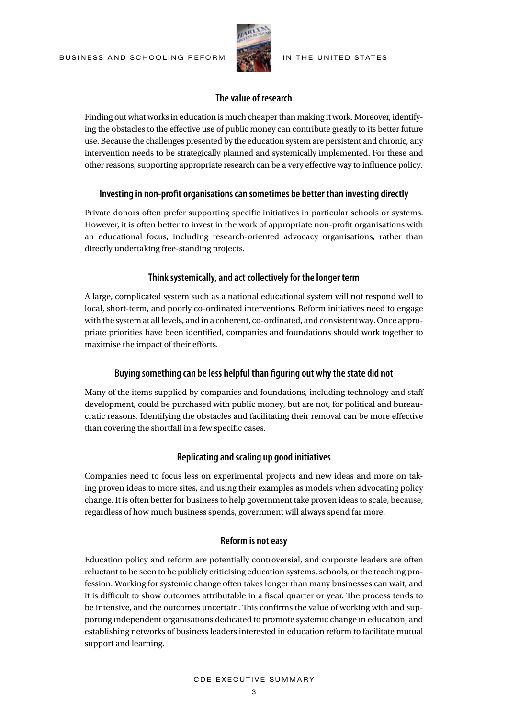

#### **The value of research**

Finding out what works in education is much cheaper than making it work. Moreover, identifying the obstacles to the effective use of public money can contribute greatly to its better future use. Because the challenges presented by the education system are persistent and chronic, any intervention needs to be strategically planned and systemically implemented. For these and other reasons, supporting appropriate research can be a very effective way to influence policy.

#### **Investing in non-profit organisations can sometimes be better than investing directly**

Private donors often prefer supporting specific initiatives in particular schools or systems. However, it is often better to invest in the work of appropriate non-profit organisations with an educational focus, including research-oriented advocacy organisations, rather than directly undertaking free-standing projects.

#### **Think systemically, and act collectively for the longer term**

A large, complicated system such as a national educational system will not respond well to local, short-term, and poorly co-ordinated interventions. Reform initiatives need to engage with the system at all levels, and in a coherent, co-ordinated, and consistent way. Once appropriate priorities have been identified, companies and foundations should work together to maximise the impact of their efforts.

#### **Buying something can be less helpful than figuring out why the state did not**

Many of the items supplied by companies and foundations, including technology and staff development, could be purchased with public money, but are not, for political and bureaucratic reasons. Identifying the obstacles and facilitating their removal can be more effective than covering the shortfall in a few specific cases.

#### **Replicating and scaling up good initiatives**

Companies need to focus less on experimental projects and new ideas and more on taking proven ideas to more sites, and using their examples as models when advocating policy change. It is often better for business to help government take proven ideas to scale, because, regardless of how much business spends, government will always spend far more.

#### **Reform is not easy**

Education policy and reform are potentially controversial, and corporate leaders are often reluctant to be seen to be publicly criticising education systems, schools, or the teaching profession. Working for systemic change often takes longer than many businesses can wait, and it is difficult to show outcomes attributable in a fiscal quarter or year. The process tends to be intensive, and the outcomes uncertain. This confirms the value of working with and supporting independent organisations dedicated to promote systemic change in education, and establishing networks of business leaders interested in education reform to facilitate mutual support and learning.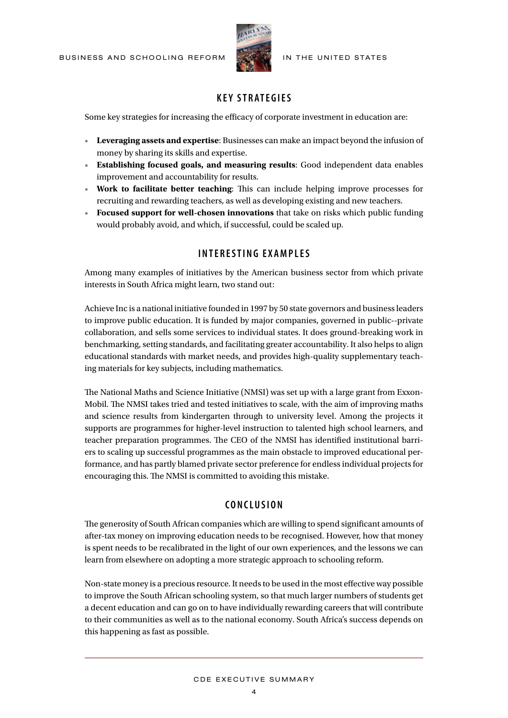

IN THE UNITED STATES

# **KEY STRATEGIES**

Some key strategies for increasing the efficacy of corporate investment in education are:

- • **Leveraging assets and expertise**: Businesses can make an impact beyond the infusion of money by sharing its skills and expertise.
- • **Establishing focused goals, and measuring results**: Good independent data enables improvement and accountability for results.
- • **Work to facilitate better teaching**: This can include helping improve processes for recruiting and rewarding teachers, as well as developing existing and new teachers.
- • **Focused support for well-chosen innovations** that take on risks which public funding would probably avoid, and which, if successful, could be scaled up.

# **i n t e r e s t i n g e x a m p l e s**

Among many examples of initiatives by the American business sector from which private interests in South Africa might learn, two stand out:

Achieve Inc is a national initiative founded in 1997 by 50 state governors and business leaders to improve public education. It is funded by major companies, governed in public--private collaboration, and sells some services to individual states. It does ground-breaking work in benchmarking, setting standards, and facilitating greater accountability. It also helps to align educational standards with market needs, and provides high-quality supplementary teaching materials for key subjects, including mathematics.

The National Maths and Science Initiative (NMSI) was set up with a large grant from Exxon-Mobil. The NMSI takes tried and tested initiatives to scale, with the aim of improving maths and science results from kindergarten through to university level. Among the projects it supports are programmes for higher-level instruction to talented high school learners, and teacher preparation programmes. The CEO of the NMSI has identified institutional barriers to scaling up successful programmes as the main obstacle to improved educational performance, and has partly blamed private sector preference for endless individual projects for encouraging this. The NMSI is committed to avoiding this mistake.

# **Co n c l u s i o n**

The generosity of South African companies which are willing to spend significant amounts of after-tax money on improving education needs to be recognised. However, how that money is spent needs to be recalibrated in the light of our own experiences, and the lessons we can learn from elsewhere on adopting a more strategic approach to schooling reform.

Non-state money is a precious resource. It needs to be used in the most effective way possible to improve the South African schooling system, so that much larger numbers of students get a decent education and can go on to have individually rewarding careers that will contribute to their communities as well as to the national economy. South Africa's success depends on this happening as fast as possible.